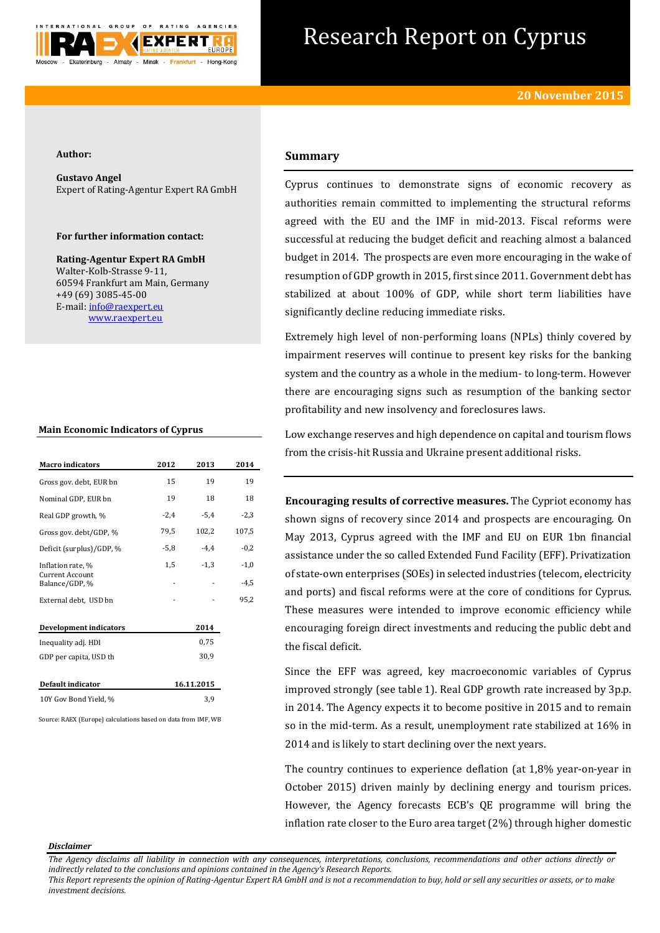

# Research Report on Cyprus

#### **Author:**

**Gustavo Angel** Expert of Rating-Agentur Expert RA GmbH

# **For further information contact:**

**Rating-Agentur Expert RA GmbH** Walter-Kolb-Strasse 9-11, 60594 Frankfurt am Main, Germany +49 (69) 3085-45-00 E-mail[: info@raexpert.eu](mailto:info@raexpert.eu) [www.raexpert.eu](http://raexpert.eu/)

### **Main Economic Indicators of Cyprus**

| <b>Macro</b> indicators                     | 2012       | 2013   | 2014   |
|---------------------------------------------|------------|--------|--------|
| Gross gov. debt, EUR bn                     | 15         | 19     | 19     |
| Nominal GDP, EUR bn                         | 19         | 18     | 18     |
| Real GDP growth, %                          | $-2,4$     | $-5.4$ | $-2,3$ |
| Gross gov. debt/GDP, %                      | 79.5       | 102,2  | 107,5  |
| Deficit (surplus)/GDP, %                    | -5,8       | $-4.4$ | $-0,2$ |
| Inflation rate, %<br><b>Current Account</b> | 1,5        | $-1.3$ | $-1,0$ |
| Balance/GDP, %                              |            |        | $-4,5$ |
| External debt, USD bn                       |            |        | 95,2   |
|                                             |            |        |        |
| <b>Development indicators</b>               |            | 2014   |        |
| Inequality adj. HDI                         |            | 0.75   |        |
| GDP per capita, USD th                      |            | 30,9   |        |
|                                             |            |        |        |
| Default indicator                           | 16.11.2015 |        |        |
| 10Y Gov Bond Yield, %                       |            | 3,9    |        |
|                                             |            |        |        |

Source: RAEX (Europe) calculations based on data from IMF, WB

# **Summary**

Cyprus continues to demonstrate signs of economic recovery as authorities remain committed to implementing the structural reforms agreed with the EU and the IMF in mid-2013. Fiscal reforms were successful at reducing the budget deficit and reaching almost a balanced budget in 2014. The prospects are even more encouraging in the wake of resumption of GDP growth in 2015, first since 2011. Government debt has stabilized at about 100% of GDP, while short term liabilities have significantly decline reducing immediate risks.

Extremely high level of non-performing loans (NPLs) thinly covered by impairment reserves will continue to present key risks for the banking system and the country as a whole in the medium- to long-term. However there are encouraging signs such as resumption of the banking sector profitability and new insolvency and foreclosures laws.

Low exchange reserves and high dependence on capital and tourism flows from the crisis-hit Russia and Ukraine present additional risks.

**Encouraging results of corrective measures.** The Cypriot economy has shown signs of recovery since 2014 and prospects are encouraging. On May 2013, Cyprus agreed with the IMF and EU on EUR 1bn financial assistance under the so called Extended Fund Facility (EFF). Privatization of state-own enterprises (SOEs) in selected industries (telecom, electricity and ports) and fiscal reforms were at the core of conditions for Cyprus. These measures were intended to improve economic efficiency while encouraging foreign direct investments and reducing the public debt and the fiscal deficit.

Since the EFF was agreed, key macroeconomic variables of Cyprus improved strongly (see table 1). Real GDP growth rate increased by 3p.p. in 2014. The Agency expects it to become positive in 2015 and to remain so in the mid-term. As a result, unemployment rate stabilized at 16% in 2014 and is likely to start declining over the next years.

The country continues to experience deflation (at 1,8% year-on-year in October 2015) driven mainly by declining energy and tourism prices. However, the Agency forecasts ECB's QE programme will bring the inflation rate closer to the Euro area target (2%) through higher domestic

#### *Disclaimer*

*The Agency disclaims all liability in connection with any consequences, interpretations, conclusions, recommendations and other actions directly or indirectly related to the conclusions and opinions contained in the Agency's Research Reports.*

*This Report represents the opinion of Rating-Agentur Expert RA GmbH and is not a recommendation to buy, hold or sell any securities or assets, or to make investment decisions.*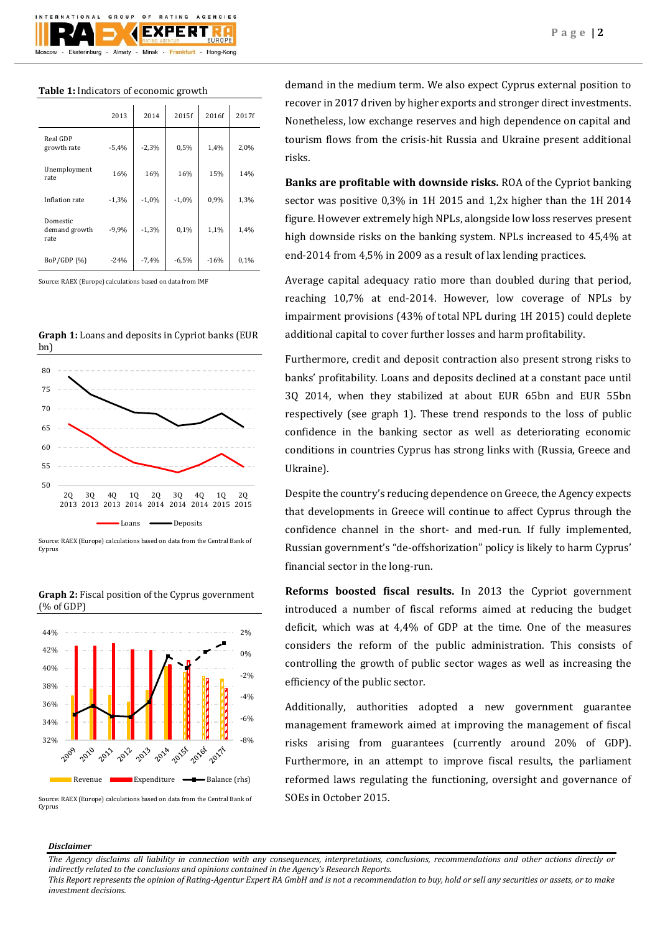

## **Table 1:** Indicators of economic growth

|                                   | 2013    | 2014    | 2015f   | 2016f  | 2017f |
|-----------------------------------|---------|---------|---------|--------|-------|
| Real GDP<br>growth rate           | $-5,4%$ | $-2,3%$ | 0,5%    | 1,4%   | 2,0%  |
| Unemployment<br>rate              | 16%     | 16%     | 16%     | 15%    | 14%   |
| Inflation rate                    | $-1,3%$ | $-1,0%$ | $-1,0%$ | 0,9%   | 1,3%  |
| Domestic<br>demand growth<br>rate | $-9,9%$ | $-1,3%$ | 0,1%    | 1,1%   | 1,4%  |
| BoP/GDP (%)                       | $-24%$  | $-7,4%$ | $-6,5%$ | $-16%$ | 0,1%  |

Source: RAEX (Europe) calculations based on data from IMF



Source: RAEX (Europe) calculations based on data from the Central Bank of Cyprus



**Graph 2:** Fiscal position of the Cyprus government (% of GDP)

Source: RAEX (Europe) calculations based on data from the Central Bank of Cyprus

demand in the medium term. We also expect Cyprus external position to recover in 2017 driven by higher exports and stronger direct investments. Nonetheless, low exchange reserves and high dependence on capital and tourism flows from the crisis-hit Russia and Ukraine present additional risks.

**Banks are profitable with downside risks.** ROA of the Cypriot banking sector was positive 0,3% in 1H 2015 and 1,2x higher than the 1H 2014 figure. However extremely high NPLs, alongside low loss reserves present high downside risks on the banking system. NPLs increased to 45,4% at end-2014 from 4,5% in 2009 as a result of lax lending practices.

Average capital adequacy ratio more than doubled during that period, reaching 10,7% at end-2014. However, low coverage of NPLs by impairment provisions (43% of total NPL during 1H 2015) could deplete additional capital to cover further losses and harm profitability.

Furthermore, credit and deposit contraction also present strong risks to banks' profitability. Loans and deposits declined at a constant pace until 3Q 2014, when they stabilized at about EUR 65bn and EUR 55bn respectively (see graph 1). These trend responds to the loss of public confidence in the banking sector as well as deteriorating economic conditions in countries Cyprus has strong links with (Russia, Greece and Ukraine).

Despite the country's reducing dependence on Greece, the Agency expects that developments in Greece will continue to affect Cyprus through the confidence channel in the short- and med-run. If fully implemented, Russian government's "de-offshorization" policy is likely to harm Cyprus' financial sector in the long-run.

**Reforms boosted fiscal results.** In 2013 the Cypriot government introduced a number of fiscal reforms aimed at reducing the budget deficit, which was at 4,4% of GDP at the time. One of the measures considers the reform of the public administration. This consists of controlling the growth of public sector wages as well as increasing the efficiency of the public sector.

Additionally, authorities adopted a new government guarantee management framework aimed at improving the management of fiscal risks arising from guarantees (currently around 20% of GDP). Furthermore, in an attempt to improve fiscal results, the parliament reformed laws regulating the functioning, oversight and governance of SOEs in October 2015.

## *Disclaimer*

*The Agency disclaims all liability in connection with any consequences, interpretations, conclusions, recommendations and other actions directly or indirectly related to the conclusions and opinions contained in the Agency's Research Reports.*

*This Report represents the opinion of Rating-Agentur Expert RA GmbH and is not a recommendation to buy, hold or sell any securities or assets, or to make investment decisions.*